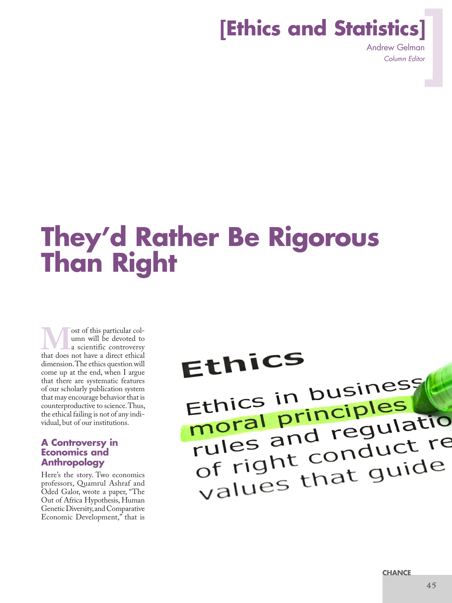## **[Ethics and Statistics]**

Andrew Gelman *Column Editor*

# **They'd Rather Be Rigorous Than Right**

**Most of this particular col-**<br> **COMPONE A** a scientific controversy<br>
that does not have a direct ethical umn will be devoted to a scientific controversy dimension. The ethics question will come up at the end, when I argue that there are systematic features of our scholarly publication system that may encourage behavior that is counterproductive to science. Thus, the ethical failing is not of any individual, but of our institutions.

#### **A Controversy in Economics and Anthropology**

Here's the story. Two economics professors, Quamrul Ashraf and Oded Galor, wrote a paper, "The Out of Africa Hypothesis, Human Genetic Diversity, and Comparative Economic Development," that is

Ethics Ethics in business Ethics in Duanies<br>moral principles rules and regulation rules and regularies<br>of right conduct re of right contracted

**CHANCE**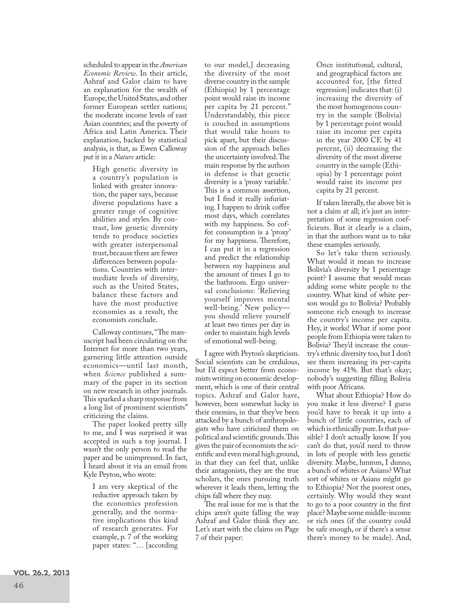scheduled to appear in the *American Economic Review*. In their article, Ashraf and Galor claim to have an explanation for the wealth of Europe, the United States, and other former European settler nations; the moderate income levels of east Asian countries; and the poverty of Africa and Latin America. Their explanation, backed by statistical analysis, is that, as Ewen Calloway put it in a *Nature* article:

High genetic diversity in a country's population is linked with greater innovation, the paper says, because diverse populations have a greater range of cognitive abilities and styles. By contrast, low genetic diversity tends to produce societies with greater interpersonal trust, because there are fewer differences between populations. Countries with intermediate levels of diversity, such as the United States, balance these factors and have the most productive economies as a result, the economists conclude.

Calloway continues, "The manuscript had been circulating on the Internet for more than two years, garnering little attention outside economics—until last month, when *Science* published a summary of the paper in its section on new research in other journals. This sparked a sharp response from a long list of prominent scientists" criticizing the claims.

The paper looked pretty silly to me, and I was surprised it was accepted in such a top journal. I wasn't the only person to read the paper and be unimpressed. In fact, I heard about it via an email from Kyle Peyton, who wrote:

I am very skeptical of the reductive approach taken by the economics profession generally, and the normative implications this kind of research generates. For example, p. 7 of the working paper states: "… [according

to our model,] decreasing the diversity of the most diverse country in the sample (Ethiopia) by 1 percentage point would raise its income per capita by 21 percent." Understandably, this piece is couched in assumptions that would take hours to pick apart, but their discussion of the approach belies the uncertainty involved. The main response by the authors in defense is that genetic diversity is a 'proxy variable.' This is a common assertion, but I find it really infuriating. I happen to drink coffee most days, which correlates with my happiness. So coffee consumption is a 'proxy' for my happiness. Therefore, I can put it in a regression and predict the relationship between my happiness and the amount of times I go to the bathroom. Ergo universal conclusions: 'Relieving yourself improves mental well-being.' New policy you should relieve yourself at least two times per day in order to maintain high levels of emotional well-being.

I agree with Peyton's skepticism. Social scientists can be credulous, but I'd expect better from economists writing on economic development, which is one of their central topics. Ashraf and Galor have, however, been somewhat lucky in their enemies, in that they've been attacked by a bunch of anthropologists who have criticized them on political and scientific grounds. This gives the pair of economists the scientific and even moral high ground, in that they can feel that, unlike their antagonists, they are the true scholars, the ones pursuing truth wherever it leads them, letting the chips fall where they may.

The real issue for me is that the chips aren't quite falling the way Ashraf and Galor think they are. Let's start with the claims on Page 7 of their paper:

Once institutional, cultural, and geographical factors are accounted for, [the fitted regression] indicates that: (i) increasing the diversity of the most homogenous country in the sample (Bolivia) by 1 percentage point would raise its income per capita in the year 2000 CE by 41 percent, (ii) decreasing the diversity of the most diverse country in the sample (Ethiopia) by 1 percentage point would raise its income per capita by 21 percent.

If taken literally, the above bit is not a claim at all; it's just an interpretation of some regression coefficients. But it clearly is a claim, in that the authors want us to take these examples seriously.

So let's take them seriously. What would it mean to increase Bolivia's diversity by 1 percentage point? I assume that would mean adding some white people to the country. What kind of white person would go to Bolivia? Probably someone rich enough to increase the country's income per capita. Hey, it works! What if some poor people from Ethiopia were taken to Bolivia? They'd increase the country's ethnic diversity too, but I don't see them increasing its per-capita income by 41%. But that's okay; nobody's suggesting filling Bolivia with poor Africans.

What about Ethiopia? How do you make it less diverse? I guess you'd have to break it up into a bunch of little countries, each of which is ethnically pure. Is that possible? I don't actually know. If you can't do that, you'd need to throw in lots of people with less genetic diversity. Maybe, hmmm, I dunno, a bunch of whites or Asians? What sort of whites or Asians might go to Ethiopia? Not the poorest ones, certainly. Why would they want to go to a poor country in the first place? Maybe some middle-income or rich ones (if the country could be safe enough, or if there's a sense there's money to be made). And,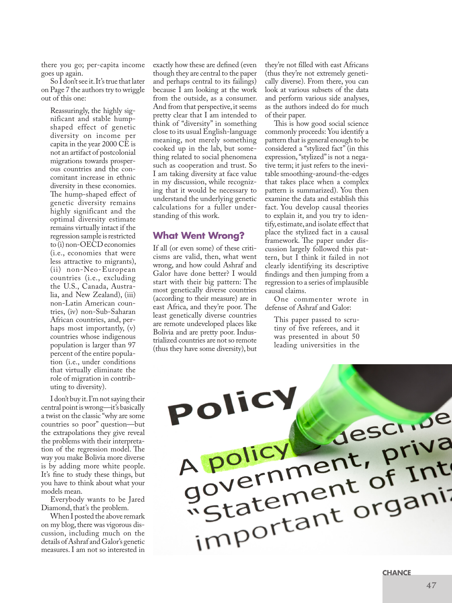there you go; per-capita income goes up again.

So I don't see it. It's true that later on Page 7 the authors try to wriggle out of this one:

Reassuringly, the highly significant and stable humpshaped effect of genetic diversity on income per capita in the year 2000 CE is not an artifact of postcolonial migrations towards prosperous countries and the concomitant increase in ethnic diversity in these economies. The hump-shaped effect of genetic diversity remains highly significant and the optimal diversity estimate remains virtually intact if the regression sample is restricted to (i) non-OECD economies (i.e., economies that were less attractive to migrants), (ii) non-Neo-European countries (i.e., excluding the U.S., Canada, Australia, and New Zealand), (iii) non-Latin American countries, (iv) non-Sub-Saharan African countries, and, perhaps most importantly, (v) countries whose indigenous population is larger than 97 percent of the entire population (i.e., under conditions that virtually eliminate the role of migration in contributing to diversity).

I don't buy it. I'm not saying their central point is wrong—it's basically a twist on the classic "why are some countries so poor" question—but the extrapolations they give reveal the problems with their interpretation of the regression model. The way you make Bolivia more diverse is by adding more white people. It's fine to study these things, but you have to think about what your models mean.

Everybody wants to be Jared Diamond, that's the problem.

When I posted the above remark on my blog, there was vigorous discussion, including much on the details of Ashraf and Galor's genetic measures. I am not so interested in

exactly how these are defined (even though they are central to the paper and perhaps central to its failings) because I am looking at the work from the outside, as a consumer. And from that perspective, it seems pretty clear that I am intended to think of "diversity" in something close to its usual English-language meaning, not merely something cooked up in the lab, but something related to social phenomena such as cooperation and trust. So I am taking diversity at face value in my discussion, while recognizing that it would be necessary to understand the underlying genetic calculations for a fuller understanding of this work.

#### **What Went Wrong?**

If all (or even some) of these criticisms are valid, then, what went wrong, and how could Ashraf and Galor have done better? I would start with their big pattern: The most genetically diverse countries (according to their measure) are in east Africa, and they're poor. The least genetically diverse countries are remote undeveloped places like Bolivia and are pretty poor. Industrialized countries are not so remote (thus they have some diversity), but

they're not filled with east Africans (thus they're not extremely genetically diverse). From there, you can look at various subsets of the data and perform various side analyses, as the authors indeed do for much of their paper.

This is how good social science commonly proceeds: You identify a pattern that is general enough to be considered a "stylized fact" (in this expression, "stylized" is not a negative term; it just refers to the inevitable smoothing-around-the-edges that takes place when a complex pattern is summarized). You then examine the data and establish this fact. You develop causal theories to explain it, and you try to identify, estimate, and isolate effect that place the stylized fact in a causal framework. The paper under discussion largely followed this pattern, but I think it failed in not clearly identifying its descriptive findings and then jumping from a regression to a series of implausible causal claims.

One commenter wrote in defense of Ashraf and Galor:

This paper passed to scrutiny of five referees, and it was presented in about 50 leading universities in the

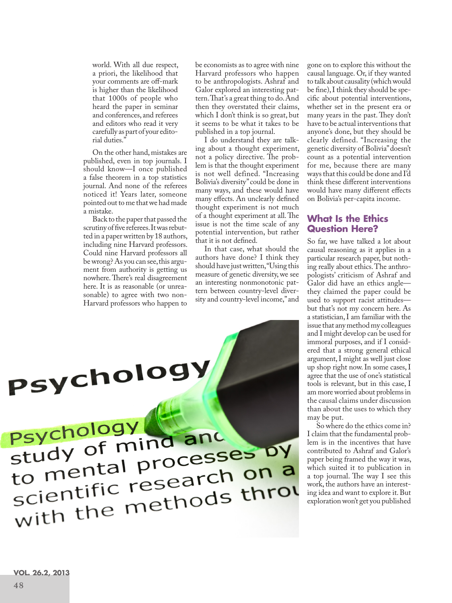world. With all due respect, a priori, the likelihood that your comments are off-mark is higher than the likelihood that 1000s of people who heard the paper in seminar and conferences, and referees and editors who read it very carefully as part of your editorial duties."

On the other hand, mistakes are published, even in top journals. I should know—I once published a false theorem in a top statistics journal. And none of the referees noticed it! Years later, someone pointed out to me that we had made a mistake.

Back to the paper that passed the scrutiny of five referees. It was rebutted in a paper written by 18 authors, including nine Harvard professors. Could nine Harvard professors all be wrong? As you can see, this argument from authority is getting us nowhere. There's real disagreement here. It is as reasonable (or unreasonable) to agree with two non-Harvard professors who happen to

be economists as to agree with nine Harvard professors who happen to be anthropologists. Ashraf and Galor explored an interesting pattern. That's a great thing to do. And then they overstated their claims, which I don't think is so great, but it seems to be what it takes to be published in a top journal.

I do understand they are talking about a thought experiment, not a policy directive. The problem is that the thought experiment is not well defined. "Increasing Bolivia's diversity" could be done in many ways, and these would have many effects. An unclearly defined thought experiment is not much of a thought experiment at all. The issue is not the time scale of any potential intervention, but rather that it is not defined.

In that case, what should the authors have done? I think they should have just written, "Using this measure of genetic diversity, we see an interesting nonmonotonic pattern between country-level diversity and country-level income," and

Psychology Psychology psychology<br>study of mind and<br>antal process study of mind and<br>to mental processes by<br>scientific research on a scientific research throu

gone on to explore this without the causal language. Or, if they wanted to talk about causality (which would be fine), I think they should be specific about potential interventions, whether set in the present era or many years in the past. They don't have to be actual interventions that anyone's done, but they should be clearly defined. "Increasing the genetic diversity of Bolivia" doesn't count as a potential intervention for me, because there are many ways that this could be done and I'd think these different interventions would have many different effects on Bolivia's per-capita income.

#### **What Is the Ethics Question Here?**

So far, we have talked a lot about causal reasoning as it applies in a particular research paper, but nothing really about ethics. The anthropologists' criticism of Ashraf and Galor did have an ethics angle they claimed the paper could be used to support racist attitudes but that's not my concern here. As a statistician, I am familiar with the issue that any method my colleagues and I might develop can be used for immoral purposes, and if I considered that a strong general ethical argument, I might as well just close up shop right now. In some cases, I agree that the use of one's statistical tools is relevant, but in this case, I am more worried about problems in the causal claims under discussion than about the uses to which they may be put.

So where do the ethics come in? I claim that the fundamental problem is in the incentives that have contributed to Ashraf and Galor's paper being framed the way it was, which suited it to publication in a top journal. The way I see this work, the authors have an interesting idea and want to explore it. But exploration won't get you published